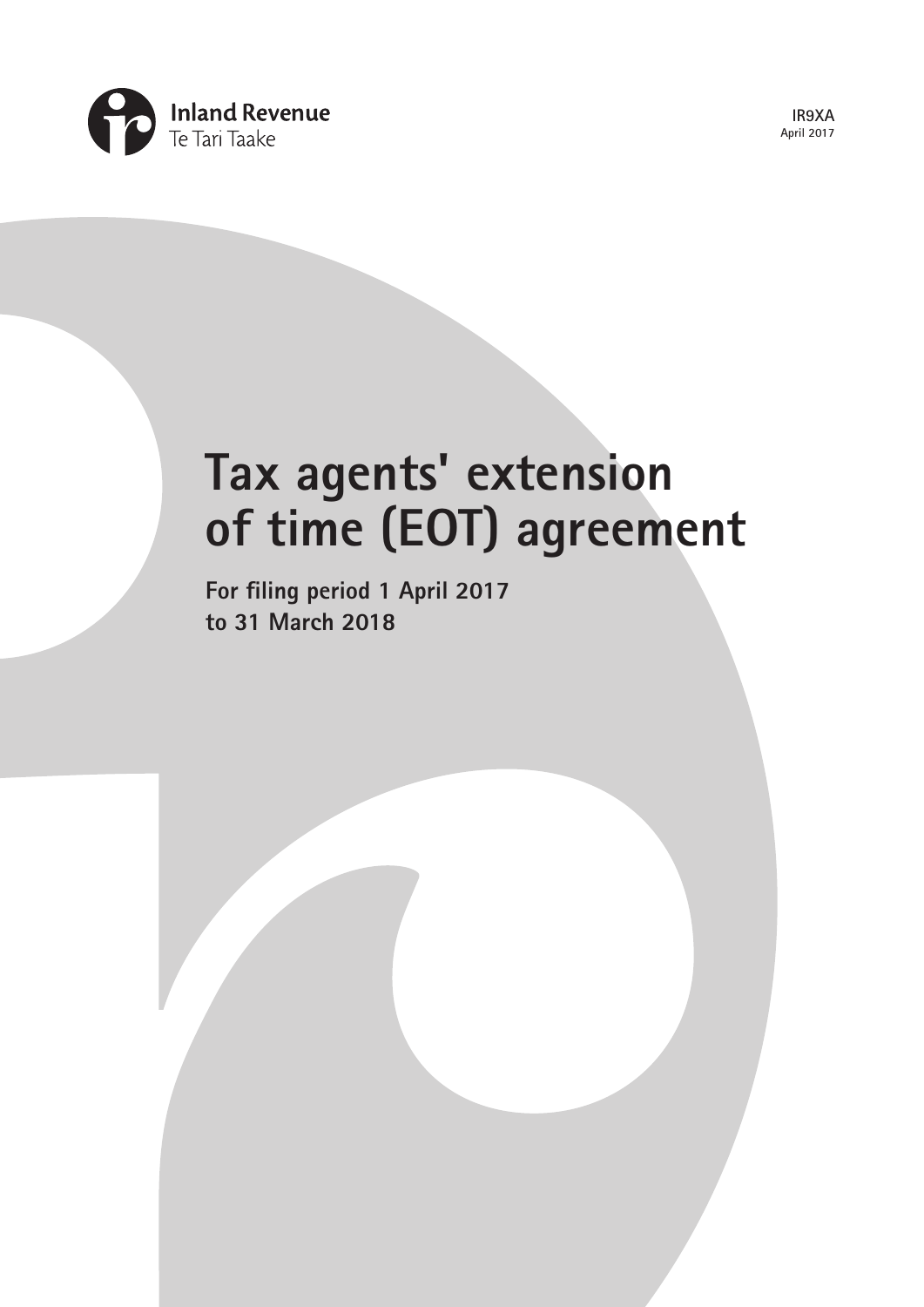

**IR9XA April 2017**

# **Tax agents' extension of time (EOT) agreement**

**For filing period 1 April 2017 to 31 March 2018**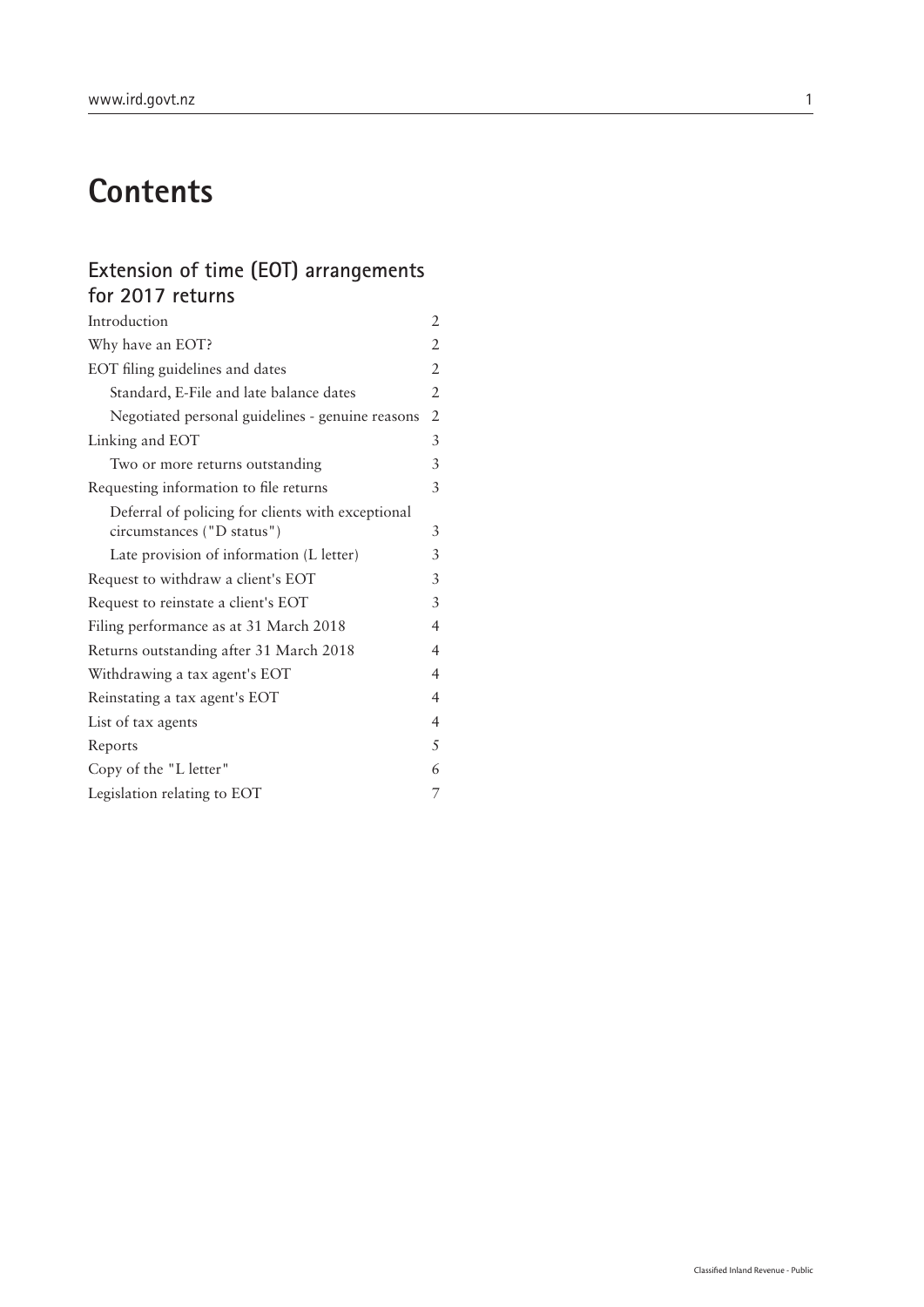## **Contents**

## **Extension of time (EOT) arrangements for 2017 returns**

| Introduction                                      | 2 |
|---------------------------------------------------|---|
| Why have an EOT?                                  | 2 |
| EOT filing guidelines and dates                   | 2 |
| Standard, E-File and late balance dates           | 2 |
| Negotiated personal guidelines - genuine reasons  | 2 |
| Linking and EOT                                   | 3 |
| Two or more returns outstanding                   | 3 |
| Requesting information to file returns            | 3 |
| Deferral of policing for clients with exceptional |   |
| circumstances ("D status")                        | 3 |
| Late provision of information (L letter)          | 3 |
| Request to withdraw a client's EOT                | 3 |
| Request to reinstate a client's EOT               | 3 |
| Filing performance as at 31 March 2018            | 4 |
| Returns outstanding after 31 March 2018           | 4 |
| Withdrawing a tax agent's EOT                     | 4 |
| Reinstating a tax agent's EOT                     | 4 |
| List of tax agents                                | 4 |
| Reports                                           | 5 |
| Copy of the "L letter"                            | 6 |
| Legislation relating to EOT                       | 7 |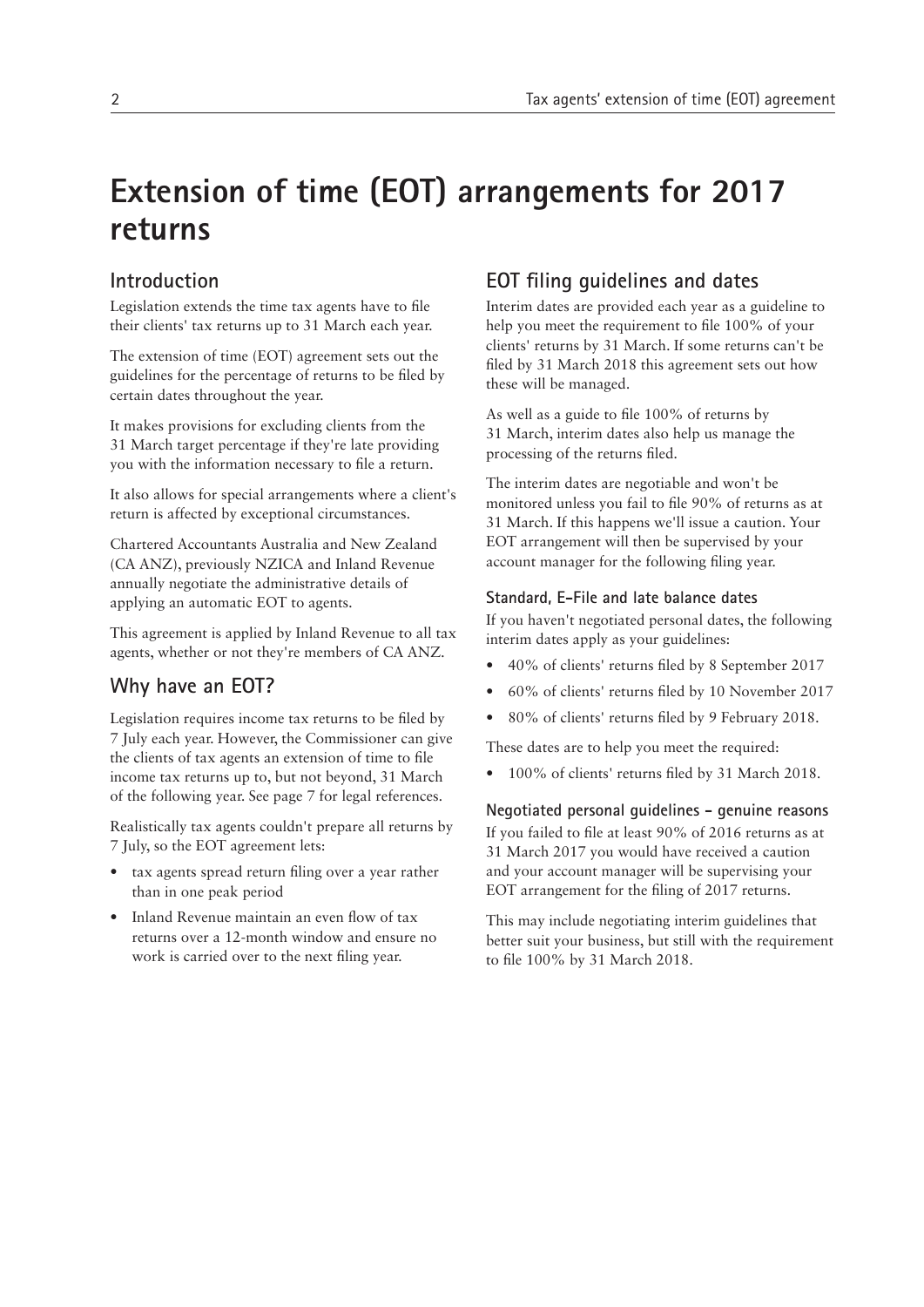## **Extension of time (EOT) arrangements for 2017 returns**

## **Introduction**

Legislation extends the time tax agents have to file their clients' tax returns up to 31 March each year.

The extension of time (EOT) agreement sets out the guidelines for the percentage of returns to be filed by certain dates throughout the year.

It makes provisions for excluding clients from the 31 March target percentage if they're late providing you with the information necessary to file a return.

It also allows for special arrangements where a client's return is affected by exceptional circumstances.

Chartered Accountants Australia and New Zealand (CA ANZ), previously NZICA and Inland Revenue annually negotiate the administrative details of applying an automatic EOT to agents.

This agreement is applied by Inland Revenue to all tax agents, whether or not they're members of CA ANZ.

## **Why have an EOT?**

Legislation requires income tax returns to be filed by 7 July each year. However, the Commissioner can give the clients of tax agents an extension of time to file income tax returns up to, but not beyond, 31 March of the following year. See page 7 for legal references.

Realistically tax agents couldn't prepare all returns by 7 July, so the EOT agreement lets:

- tax agents spread return filing over a year rather than in one peak period
- Inland Revenue maintain an even flow of tax returns over a 12-month window and ensure no work is carried over to the next filing year.

## **EOT filing guidelines and dates**

Interim dates are provided each year as a guideline to help you meet the requirement to file 100% of your clients' returns by 31 March. If some returns can't be filed by 31 March 2018 this agreement sets out how these will be managed.

As well as a guide to file 100% of returns by 31 March, interim dates also help us manage the processing of the returns filed.

The interim dates are negotiable and won't be monitored unless you fail to file 90% of returns as at 31 March. If this happens we'll issue a caution. Your EOT arrangement will then be supervised by your account manager for the following filing year.

#### **Standard, E-File and late balance dates**

If you haven't negotiated personal dates, the following interim dates apply as your guidelines:

- 40% of clients' returns filed by 8 September 2017
- 60% of clients' returns filed by 10 November 2017
- 80% of clients' returns filed by 9 February 2018.

These dates are to help you meet the required:

• 100% of clients' returns filed by 31 March 2018.

**Negotiated personal guidelines - genuine reasons**

If you failed to file at least 90% of 2016 returns as at 31 March 2017 you would have received a caution and your account manager will be supervising your EOT arrangement for the filing of 2017 returns.

This may include negotiating interim guidelines that better suit your business, but still with the requirement to file 100% by 31 March 2018.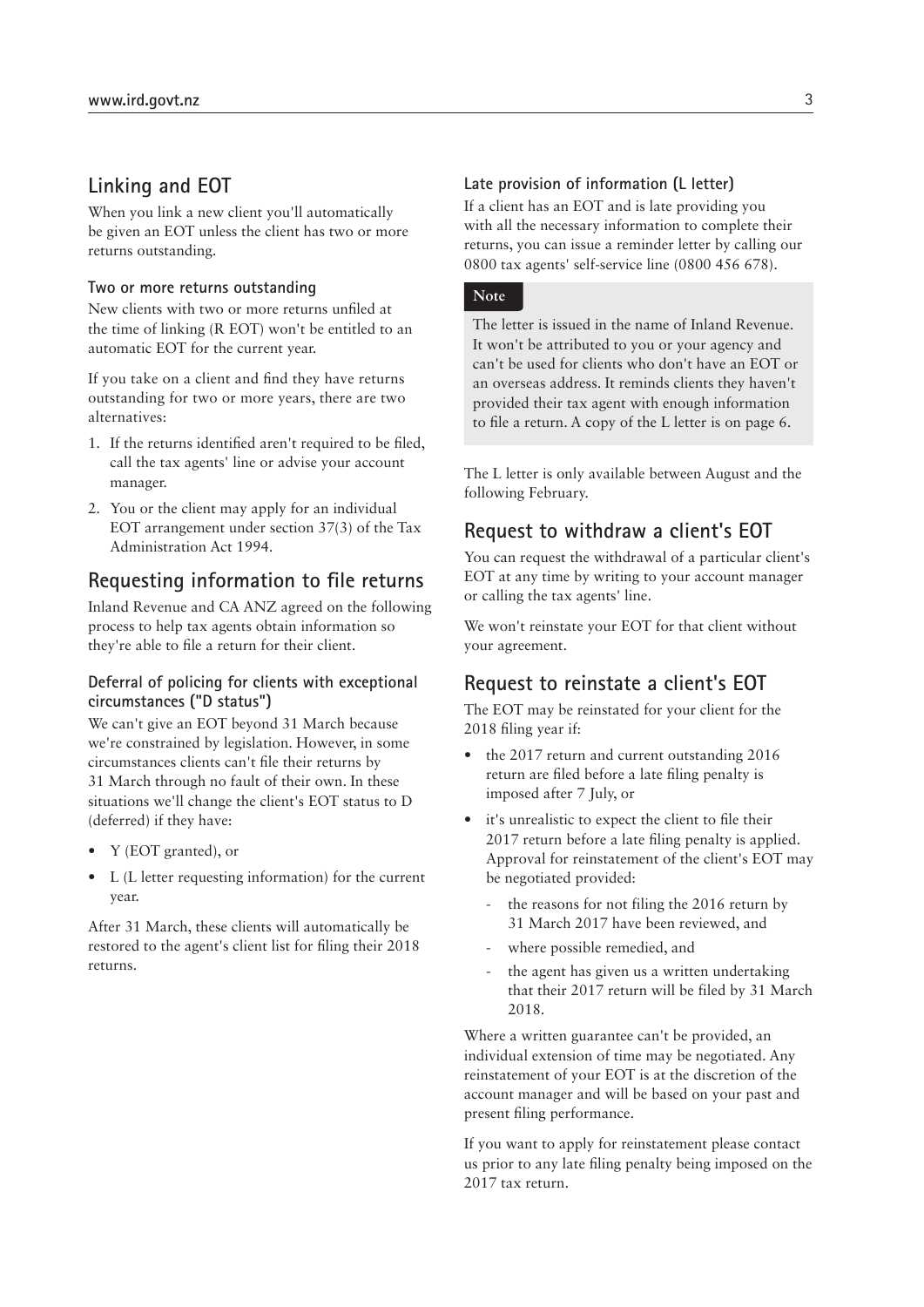#### **Linking and EOT**

When you link a new client you'll automatically be given an EOT unless the client has two or more returns outstanding.

#### **Two or more returns outstanding**

New clients with two or more returns unfiled at the time of linking (R EOT) won't be entitled to an automatic EOT for the current year.

If you take on a client and find they have returns outstanding for two or more years, there are two alternatives:

- 1. If the returns identified aren't required to be filed, call the tax agents' line or advise your account manager.
- 2. You or the client may apply for an individual EOT arrangement under section 37(3) of the Tax Administration Act 1994.

#### **Requesting information to file returns**

Inland Revenue and CA ANZ agreed on the following process to help tax agents obtain information so they're able to file a return for their client.

#### **Deferral of policing for clients with exceptional circumstances ("D status")**

We can't give an EOT beyond 31 March because we're constrained by legislation. However, in some circumstances clients can't file their returns by 31 March through no fault of their own. In these situations we'll change the client's EOT status to D (deferred) if they have:

- Y (EOT granted), or
- L (L letter requesting information) for the current year.

After 31 March, these clients will automatically be restored to the agent's client list for filing their 2018 returns.

#### **Late provision of information (L letter)**

If a client has an EOT and is late providing you with all the necessary information to complete their returns, you can issue a reminder letter by calling our 0800 tax agents' self-service line (0800 456 678).

#### **Note**

The letter is issued in the name of Inland Revenue. It won't be attributed to you or your agency and can't be used for clients who don't have an EOT or an overseas address. It reminds clients they haven't provided their tax agent with enough information to file a return. A copy of the L letter is on page 6.

The L letter is only available between August and the following February.

## **Request to withdraw a client's EOT**

You can request the withdrawal of a particular client's EOT at any time by writing to your account manager or calling the tax agents' line.

We won't reinstate your EOT for that client without your agreement.

### **Request to reinstate a client's EOT**

The EOT may be reinstated for your client for the 2018 filing year if:

- the 2017 return and current outstanding 2016 return are filed before a late filing penalty is imposed after 7 July, or
- it's unrealistic to expect the client to file their 2017 return before a late filing penalty is applied. Approval for reinstatement of the client's EOT may be negotiated provided:
	- the reasons for not filing the 2016 return by 31 March 2017 have been reviewed, and
	- where possible remedied, and
	- the agent has given us a written undertaking that their 2017 return will be filed by 31 March 2018.

Where a written guarantee can't be provided, an individual extension of time may be negotiated. Any reinstatement of your EOT is at the discretion of the account manager and will be based on your past and present filing performance.

If you want to apply for reinstatement please contact us prior to any late filing penalty being imposed on the 2017 tax return.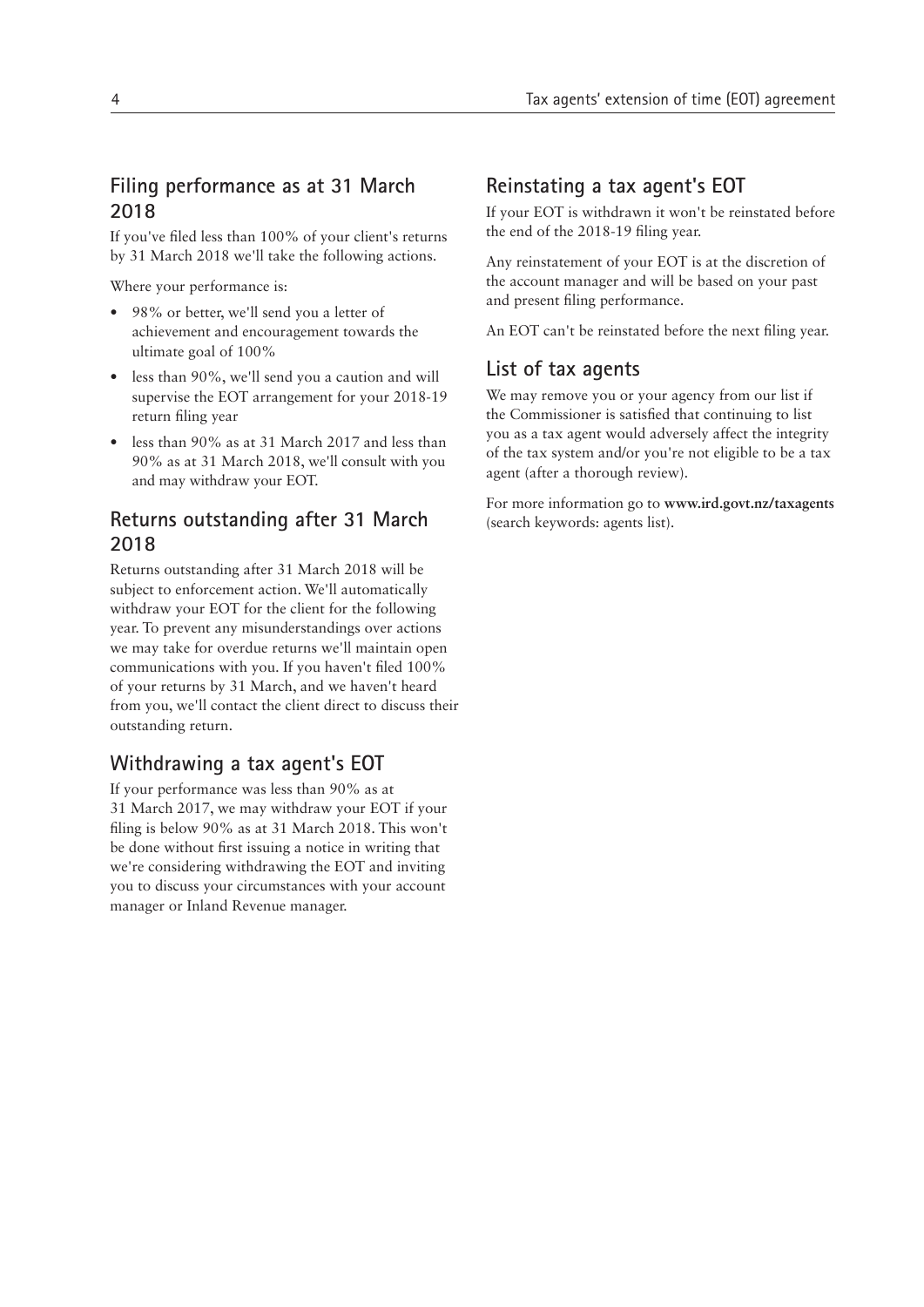## **Filing performance as at 31 March 2018**

If you've filed less than 100% of your client's returns by 31 March 2018 we'll take the following actions.

Where your performance is:

- 98% or better, we'll send you a letter of achievement and encouragement towards the ultimate goal of 100%
- less than 90%, we'll send you a caution and will supervise the EOT arrangement for your 2018-19 return filing year
- less than 90% as at 31 March 2017 and less than 90% as at 31 March 2018, we'll consult with you and may withdraw your EOT.

## **Returns outstanding after 31 March 2018**

Returns outstanding after 31 March 2018 will be subject to enforcement action. We'll automatically withdraw your EOT for the client for the following year. To prevent any misunderstandings over actions we may take for overdue returns we'll maintain open communications with you. If you haven't filed 100% of your returns by 31 March, and we haven't heard from you, we'll contact the client direct to discuss their outstanding return.

## **Withdrawing a tax agent's EOT**

If your performance was less than 90% as at 31 March 2017, we may withdraw your EOT if your filing is below 90% as at 31 March 2018. This won't be done without first issuing a notice in writing that we're considering withdrawing the EOT and inviting you to discuss your circumstances with your account manager or Inland Revenue manager.

## **Reinstating a tax agent's EOT**

If your EOT is withdrawn it won't be reinstated before the end of the 2018-19 filing year.

Any reinstatement of your EOT is at the discretion of the account manager and will be based on your past and present filing performance.

An EOT can't be reinstated before the next filing year.

## **List of tax agents**

We may remove you or your agency from our list if the Commissioner is satisfied that continuing to list you as a tax agent would adversely affect the integrity of the tax system and/or you're not eligible to be a tax agent (after a thorough review).

For more information go to **www.ird.govt.nz/taxagents** (search keywords: agents list).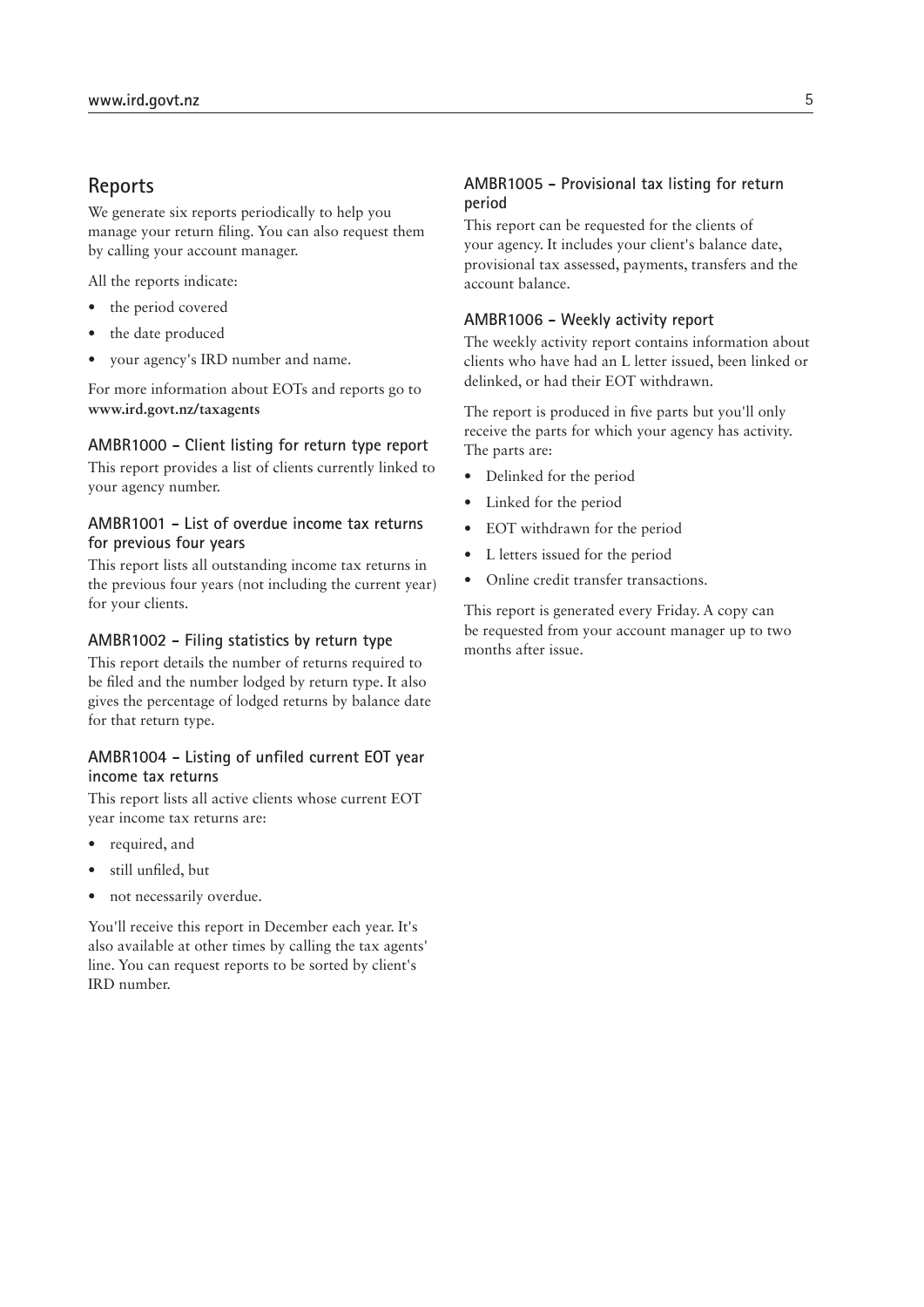#### **Reports**

We generate six reports periodically to help you manage your return filing. You can also request them by calling your account manager.

All the reports indicate:

- the period covered
- the date produced
- your agency's IRD number and name.

For more information about EOTs and reports go to **www.ird.govt.nz/taxagents**

#### **AMBR1000 - Client listing for return type report**

This report provides a list of clients currently linked to your agency number.

#### **AMBR1001 - List of overdue income tax returns for previous four years**

This report lists all outstanding income tax returns in the previous four years (not including the current year) for your clients.

#### **AMBR1002 - Filing statistics by return type**

This report details the number of returns required to be filed and the number lodged by return type. It also gives the percentage of lodged returns by balance date for that return type.

#### **AMBR1004 - Listing of unfiled current EOT year income tax returns**

This report lists all active clients whose current EOT year income tax returns are:

- required, and
- still unfiled, but
- not necessarily overdue.

You'll receive this report in December each year. It's also available at other times by calling the tax agents' line. You can request reports to be sorted by client's IRD number.

#### **AMBR1005 - Provisional tax listing for return period**

This report can be requested for the clients of your agency. It includes your client's balance date, provisional tax assessed, payments, transfers and the account balance.

#### **AMBR1006 - Weekly activity report**

The weekly activity report contains information about clients who have had an L letter issued, been linked or delinked, or had their EOT withdrawn.

The report is produced in five parts but you'll only receive the parts for which your agency has activity. The parts are:

- Delinked for the period
- Linked for the period
- EOT withdrawn for the period
- L letters issued for the period
- Online credit transfer transactions.

This report is generated every Friday. A copy can be requested from your account manager up to two months after issue.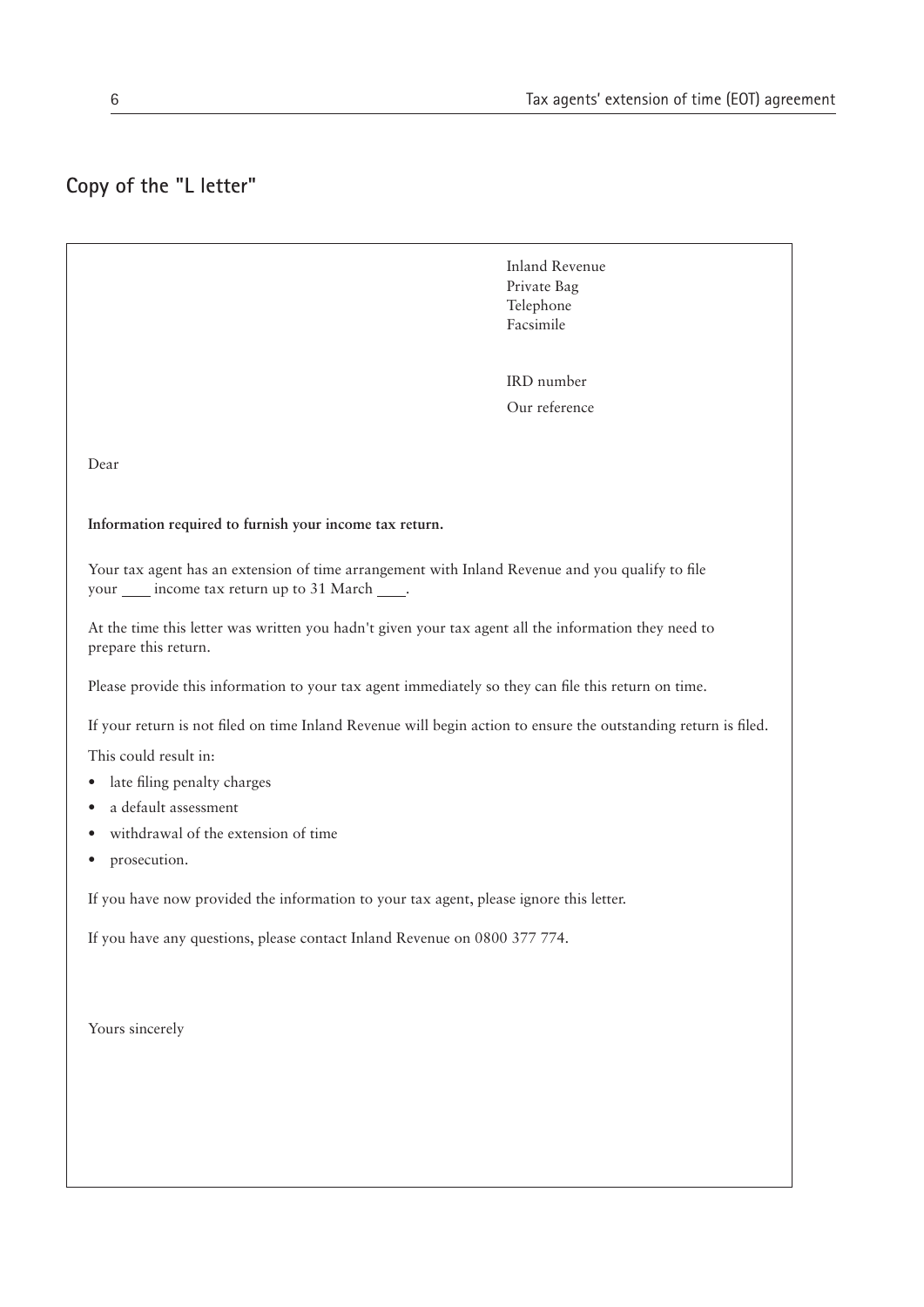## **Copy of the "L letter"**

 Inland Revenue Private Bag Telephone Facsimile

 IRD number Our reference

Dear

**Information required to furnish your income tax return.**

Your tax agent has an extension of time arrangement with Inland Revenue and you qualify to file your \_\_\_\_ income tax return up to 31 March \_\_\_\_.

At the time this letter was written you hadn't given your tax agent all the information they need to prepare this return.

Please provide this information to your tax agent immediately so they can file this return on time.

If your return is not filed on time Inland Revenue will begin action to ensure the outstanding return is filed.

This could result in:

- late filing penalty charges
- a default assessment
- withdrawal of the extension of time
- prosecution.

If you have now provided the information to your tax agent, please ignore this letter.

If you have any questions, please contact Inland Revenue on 0800 377 774.

Yours sincerely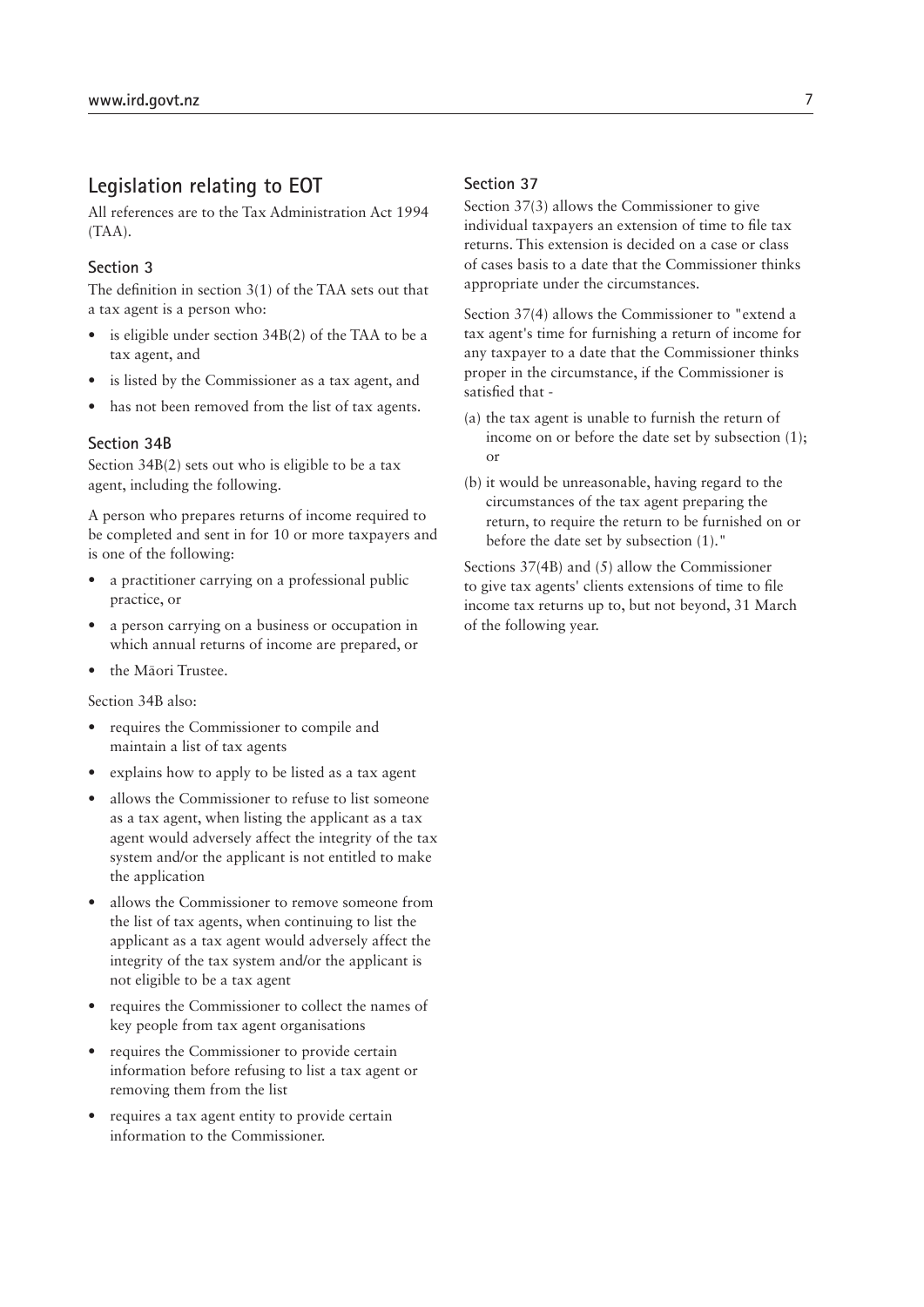### **Legislation relating to EOT**

All references are to the Tax Administration Act 1994 (TAA).

#### **Section 3**

The definition in section 3(1) of the TAA sets out that a tax agent is a person who:

- is eligible under section 34B(2) of the TAA to be a tax agent, and
- is listed by the Commissioner as a tax agent, and
- has not been removed from the list of tax agents.

#### **Section 34B**

Section 34B(2) sets out who is eligible to be a tax agent, including the following.

A person who prepares returns of income required to be completed and sent in for 10 or more taxpayers and is one of the following:

- a practitioner carrying on a professional public practice, or
- a person carrying on a business or occupation in which annual returns of income are prepared, or
- the Mäori Trustee.

Section 34B also:

- requires the Commissioner to compile and maintain a list of tax agents
- explains how to apply to be listed as a tax agent
- allows the Commissioner to refuse to list someone as a tax agent, when listing the applicant as a tax agent would adversely affect the integrity of the tax system and/or the applicant is not entitled to make the application
- allows the Commissioner to remove someone from the list of tax agents, when continuing to list the applicant as a tax agent would adversely affect the integrity of the tax system and/or the applicant is not eligible to be a tax agent
- requires the Commissioner to collect the names of key people from tax agent organisations
- requires the Commissioner to provide certain information before refusing to list a tax agent or removing them from the list
- requires a tax agent entity to provide certain information to the Commissioner.

#### **Section 37**

Section 37(3) allows the Commissioner to give individual taxpayers an extension of time to file tax returns. This extension is decided on a case or class of cases basis to a date that the Commissioner thinks appropriate under the circumstances.

Section 37(4) allows the Commissioner to "extend a tax agent's time for furnishing a return of income for any taxpayer to a date that the Commissioner thinks proper in the circumstance, if the Commissioner is satisfied that -

- (a) the tax agent is unable to furnish the return of income on or before the date set by subsection (1); or
- (b) it would be unreasonable, having regard to the circumstances of the tax agent preparing the return, to require the return to be furnished on or before the date set by subsection (1)."

Sections 37(4B) and (5) allow the Commissioner to give tax agents' clients extensions of time to file income tax returns up to, but not beyond, 31 March of the following year.